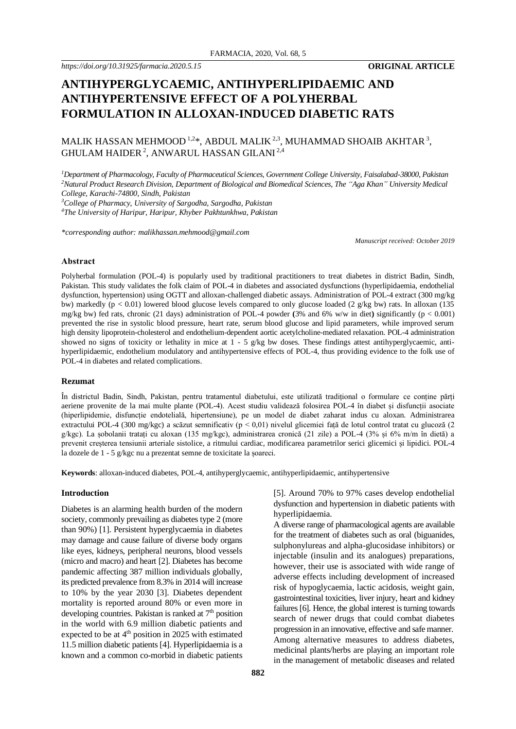*https://doi.org/10.31925/farmacia.2020.5.15* **ORIGINAL ARTICLE**

# **ANTIHYPERGLYCAEMIC, ANTIHYPERLIPIDAEMIC AND ANTIHYPERTENSIVE EFFECT OF A POLYHERBAL FORMULATION IN ALLOXAN-INDUCED DIABETIC RATS**

# MALIK HASSAN MEHMOOD  $^{1,2*}$ , ABDUL MALIK  $^{2,3}$ , MUHAMMAD SHOAIB AKHTAR  $^3$ , GHULAM HAIDER $^2$ , ANWARUL HASSAN GILANI $^{2,4}$

*<sup>1</sup>Department of Pharmacology, Faculty of Pharmaceutical Sciences, Government College University, Faisalabad-38000, Pakistan <sup>2</sup>Natural Product Research Division, Department of Biological and Biomedical Sciences, The "Aga Khan" University Medical College, Karachi-74800, Sindh, Pakistan*

*<sup>3</sup>College of Pharmacy, University of Sargodha, Sargodha, Pakistan*

*<sup>4</sup>The University of Haripur, Haripur, Khyber Pakhtunkhwa, Pakistan*

*\*corresponding author: malikhassan.mehmood@gmail.com*

*Manuscript received: October 2019*

#### **Abstract**

Polyherbal formulation (POL-4) is popularly used by traditional practitioners to treat diabetes in district Badin, Sindh, Pakistan. This study validates the folk claim of POL-4 in diabetes and associated dysfunctions (hyperlipidaemia, endothelial dysfunction, hypertension) using OGTT and alloxan-challenged diabetic assays. Administration of POL-4 extract (300 mg/kg bw) markedly (p < 0.01) lowered blood glucose levels compared to only glucose loaded (2 g/kg bw) rats. In alloxan (135 mg/kg bw) fed rats, chronic (21 days) administration of POL-4 powder **(**3% and 6% w/w in diet**)** significantly (p < 0.001) prevented the rise in systolic blood pressure, heart rate, serum blood glucose and lipid parameters, while improved serum high density lipoprotein-cholesterol and endothelium-dependent aortic acetylcholine-mediated relaxation. POL-4 administration showed no signs of toxicity or lethality in mice at  $1 - 5$  g/kg bw doses. These findings attest antihyperglycaemic, antihyperlipidaemic, endothelium modulatory and antihypertensive effects of POL-4, thus providing evidence to the folk use of POL-4 in diabetes and related complications.

#### **Rezumat**

În districtul Badin, Sindh, Pakistan, pentru tratamentul diabetului, este utilizată tradițional o formulare ce conține părți aeriene provenite de la mai multe plante (POL-4). Acest studiu validează folosirea POL-4 în diabet și disfuncții asociate (hiperlipidemie, disfuncție endotelială, hipertensiune), pe un model de diabet zaharat indus cu aloxan. Administrarea extractului POL-4 (300 mg/kgc) a scăzut semnificativ (p < 0,01) nivelul glicemiei față de lotul control tratat cu glucoză (2 g/kgc). La șobolanii tratați cu aloxan (135 mg/kgc), administrarea cronică (21 zile) a POL-4 (3% și 6% m/m în dietă) a prevenit creșterea tensiunii arteriale sistolice, a ritmului cardiac, modificarea parametrilor serici glicemici și lipidici. POL-4 la dozele de 1 - 5 g/kgc nu a prezentat semne de toxicitate la șoareci.

**Keywords**: alloxan-induced diabetes, POL-4, antihyperglycaemic, antihyperlipidaemic, antihypertensive

#### **Introduction**

Diabetes is an alarming health burden of the modern society, commonly prevailing as diabetes type 2 (more than 90%) [1]. Persistent hyperglycaemia in diabetes may damage and cause failure of diverse body organs like eyes, kidneys, peripheral neurons, blood vessels (micro and macro) and heart [2]. Diabetes has become pandemic affecting 387 million individuals globally, its predicted prevalence from 8.3% in 2014 will increase to 10% by the year 2030 [3]. Diabetes dependent mortality is reported around 80% or even more in developing countries. Pakistan is ranked at  $7<sup>th</sup>$  position in the world with 6.9 million diabetic patients and expected to be at 4<sup>th</sup> position in 2025 with estimated 11.5 million diabetic patients [4]. Hyperlipidaemia is a known and a common co-morbid in diabetic patients

[5]. Around 70% to 97% cases develop endothelial dysfunction and hypertension in diabetic patients with hyperlipidaemia.

A diverse range of pharmacological agents are available for the treatment of diabetes such as oral (biguanides, sulphonylureas and alpha-glucosidase inhibitors) or injectable (insulin and its analogues) preparations, however, their use is associated with wide range of adverse effects including development of increased risk of hypoglycaemia, lactic acidosis, weight gain, gastrointestinal toxicities, liver injury, heart and kidney failures [6]. Hence, the global interest is turning towards search of newer drugs that could combat diabetes progression in an innovative, effective and safe manner. Among alternative measures to address diabetes, medicinal plants/herbs are playing an important role in the management of metabolic diseases and related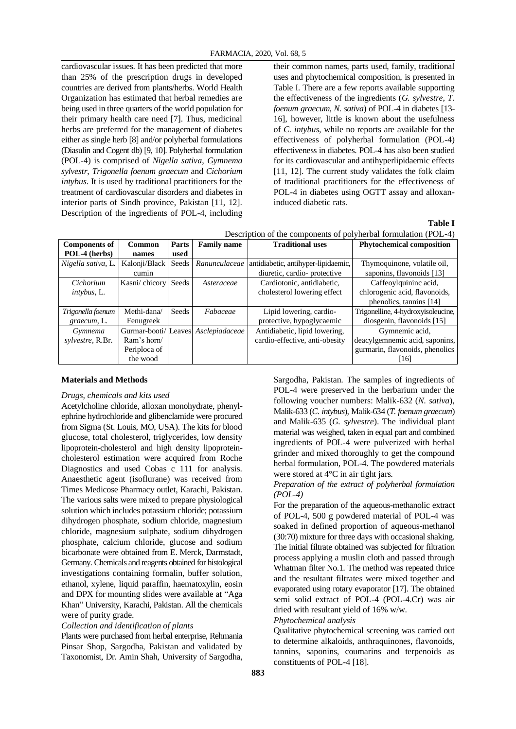cardiovascular issues. It has been predicted that more than 25% of the prescription drugs in developed countries are derived from plants/herbs. World Health Organization has estimated that herbal remedies are being used in three quarters of the world population for their primary health care need [7]. Thus, medicinal herbs are preferred for the management of diabetes either as single herb [8] and/or polyherbal formulations (Diasulin and Cogent db) [9, 10]. Polyherbal formulation (POL-4) is comprised of *Nigella sativa*, *Gymnema sylvestr*, *Trigonella foenum graecum* and *Cichorium intybus*. It is used by traditional practitioners for the treatment of cardiovascular disorders and diabetes in interior parts of Sindh province, Pakistan [11, 12]. Description of the ingredients of POL-4, including

their common names, parts used, family, traditional uses and phytochemical composition, is presented in Table I. There are a few reports available supporting the effectiveness of the ingredients (*G. sylvestre*, *T. foenum graecum*, *N. sativa*) of POL-4 in diabetes [13- 16], however, little is known about the usefulness of *C. intybus*, while no reports are available for the effectiveness of polyherbal formulation (POL-4) effectiveness in diabetes. POL-4 has also been studied for its cardiovascular and antihyperlipidaemic effects [11, 12]. The current study validates the folk claim of traditional practitioners for the effectiveness of POL-4 in diabetes using OGTT assay and alloxaninduced diabetic rats.

**Table I**

| Description of the components of polyherbal formulation (POL-4) |               |              |                                     |                                     |                                    |  |  |
|-----------------------------------------------------------------|---------------|--------------|-------------------------------------|-------------------------------------|------------------------------------|--|--|
| <b>Components of</b>                                            | Common        | Parts        | <b>Family name</b>                  | <b>Traditional uses</b>             | <b>Phytochemical composition</b>   |  |  |
| POL-4 (herbs)                                                   | names         | used         |                                     |                                     |                                    |  |  |
| Nigella sativa, L.                                              | Kalonji/Black | Seeds        | Ranunculaceae                       | antidiabetic, antihyper-lipidaemic, | Thymoquinone, volatile oil,        |  |  |
|                                                                 | cumin         |              |                                     | diuretic, cardio-protective         | saponins, flavonoids [13]          |  |  |
| Cichorium                                                       | Kasni/chicory | Seeds        | Asteraceae                          | Cardiotonic, antidiabetic,          | Caffeoylquininc acid,              |  |  |
| <i>intybus</i> , L.                                             |               |              |                                     | cholesterol lowering effect         | chlorogenic acid, flavonoids,      |  |  |
|                                                                 |               |              |                                     |                                     | phenolics, tannins [14]            |  |  |
| Trigonella foenum                                               | Methi-dana/   | <b>Seeds</b> | Fabaceae                            | Lipid lowering, cardio-             | Trigonelline, 4-hydroxyisoleucine, |  |  |
| graecum, L.                                                     | Fenugreek     |              |                                     | protective, hypoglycaemic           | diosgenin, flavonoids [15]         |  |  |
| Gymnema                                                         |               |              | Gurmar-booti/ Leaves Asclepiadaceae | Antidiabetic, lipid lowering,       | Gymnemic acid,                     |  |  |
| sylvestre, R.Br.                                                | Ram's horn/   |              |                                     | cardio-effective, anti-obesity      | deacylgemnemic acid, saponins,     |  |  |
|                                                                 | Periploca of  |              |                                     |                                     | gurmarin, flavonoids, phenolics    |  |  |
|                                                                 | the wood      |              |                                     |                                     | 1161                               |  |  |

#### **Materials and Methods**

## *Drugs, chemicals and kits used*

Acetylcholine chloride, alloxan monohydrate, phenylephrine hydrochloride and glibenclamide were procured from Sigma (St. Louis, MO, USA). The kits for blood glucose, total cholesterol, triglycerides, low density lipoprotein-cholesterol and high density lipoproteincholesterol estimation were acquired from Roche Diagnostics and used Cobas c 111 for analysis. Anaesthetic agent (isoflurane) was received from Times Medicose Pharmacy outlet, Karachi, Pakistan. The various salts were mixed to prepare physiological solution which includes potassium chloride; potassium dihydrogen phosphate, sodium chloride, magnesium chloride, magnesium sulphate, sodium dihydrogen phosphate, calcium chloride, glucose and sodium bicarbonate were obtained from E. Merck, Darmstadt, Germany. Chemicals and reagents obtained for histological investigations containing formalin, buffer solution, ethanol, xylene, liquid paraffin, haematoxylin, eosin and DPX for mounting slides were available at "Aga Khan" University, Karachi, Pakistan. All the chemicals were of purity grade.

#### *Collection and identification of plants*

Plants were purchased from herbal enterprise, Rehmania Pinsar Shop, Sargodha, Pakistan and validated by Taxonomist, Dr. Amin Shah, University of Sargodha,

Sargodha, Pakistan. The samples of ingredients of POL-4 were preserved in the herbarium under the following voucher numbers: Malik-632 (*N. sativa*), Malik-633 (*C. intybus*)*,* Malik-634 (*T. foenum graecum*) and Malik-635 (*G. sylvestre*). The individual plant material was weighed, taken in equal part and combined ingredients of POL-4 were pulverized with herbal grinder and mixed thoroughly to get the compound herbal formulation, POL-4. The powdered materials were stored at 4°C in air tight jars.

## *Preparation of the extract of polyherbal formulation (POL-4)*

For the preparation of the aqueous-methanolic extract of POL-4, 500 g powdered material of POL-4 was soaked in defined proportion of aqueous-methanol (30:70) mixture for three days with occasional shaking. The initial filtrate obtained was subjected for filtration process applying a muslin cloth and passed through Whatman filter No.1. The method was repeated thrice and the resultant filtrates were mixed together and evaporated using rotary evaporator [17]. The obtained semi solid extract of POL-4 (POL-4.Cr) was air dried with resultant yield of 16% w/w.

*Phytochemical analysis*

Qualitative phytochemical screening was carried out to determine alkaloids, anthraquinones, flavonoids, tannins, saponins, coumarins and terpenoids as constituents of POL-4 [18].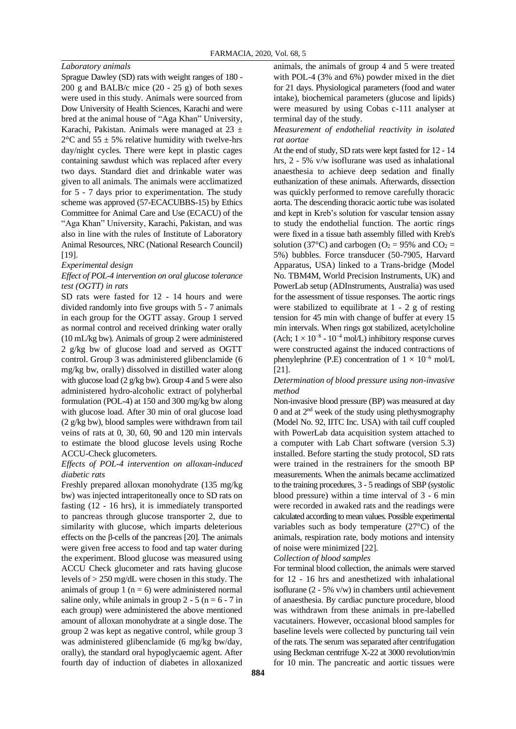## *Laboratory animals*

Sprague Dawley (SD) rats with weight ranges of 180 - 200 g and BALB/c mice  $(20 - 25$  g) of both sexes were used in this study. Animals were sourced from Dow University of Health Sciences, Karachi and were bred at the animal house of "Aga Khan" University, Karachi, Pakistan. Animals were managed at  $23 \pm$  $2^{\circ}$ C and  $55 \pm 5$ % relative humidity with twelve-hrs day/night cycles. There were kept in plastic cages containing sawdust which was replaced after every two days. Standard diet and drinkable water was given to all animals. The animals were acclimatized for 5 - 7 days prior to experimentation. The study scheme was approved (57-ECACUBBS-15) by Ethics Committee for Animal Care and Use (ECACU) of the "Aga Khan" University, Karachi, Pakistan, and was also in line with the rules of Institute of Laboratory Animal Resources, NRC (National Research Council) [19].

#### *Experimental design*

### *Effect of POL-4 intervention on oral glucose tolerance test (OGTT) in rats*

SD rats were fasted for 12 - 14 hours and were divided randomly into five groups with 5 - 7 animals in each group for the OGTT assay. Group 1 served as normal control and received drinking water orally (10 mL/kg bw). Animals of group 2 were administered 2 g/kg bw of glucose load and served as OGTT control. Group 3 was administered glibenclamide (6 mg/kg bw, orally) dissolved in distilled water along with glucose load (2 g/kg bw). Group 4 and 5 were also administered hydro-alcoholic extract of polyherbal formulation (POL-4) at 150 and 300 mg/kg bw along with glucose load. After 30 min of oral glucose load (2 g/kg bw), blood samples were withdrawn from tail veins of rats at 0, 30, 60, 90 and 120 min intervals to estimate the blood glucose levels using Roche ACCU-Check glucometers.

## *Effects of POL-4 intervention on alloxan-induced diabetic rats*

Freshly prepared alloxan monohydrate (135 mg/kg bw) was injected intraperitoneally once to SD rats on fasting (12 - 16 hrs), it is immediately transported to pancreas through glucose transporter 2, due to similarity with glucose, which imparts deleterious effects on the β-cells of the pancreas [20]. The animals were given free access to food and tap water during the experiment. Blood glucose was measured using ACCU Check glucometer and rats having glucose levels of > 250 mg/dL were chosen in this study. The animals of group 1 ( $n = 6$ ) were administered normal saline only, while animals in group  $2 - 5$  (n = 6 - 7 in each group) were administered the above mentioned amount of alloxan monohydrate at a single dose. The group 2 was kept as negative control, while group 3 was administered glibenclamide (6 mg/kg bw/day, orally), the standard oral hypoglycaemic agent. After fourth day of induction of diabetes in alloxanized

animals, the animals of group 4 and 5 were treated with POL-4 (3% and 6%) powder mixed in the diet for 21 days. Physiological parameters (food and water intake), biochemical parameters (glucose and lipids) were measured by using Cobas c-111 analyser at terminal day of the study.

## *Measurement of endothelial reactivity in isolated rat aortae*

At the end of study, SD rats were kept fasted for 12 - 14 hrs, 2 - 5% v/w isoflurane was used as inhalational anaesthesia to achieve deep sedation and finally euthanization of these animals. Afterwards, dissection was quickly performed to remove carefully thoracic aorta. The descending thoracic aortic tube was isolated and kept in Kreb's solution for vascular tension assay to study the endothelial function. The aortic rings were fixed in a tissue bath assembly filled with Kreb's solution (37°C) and carbogen ( $O_2 = 95\%$  and  $CO_2 =$ 5%) bubbles. Force transducer (50-7905, Harvard Apparatus, USA) linked to a Trans-bridge (Model No. TBM4M, World Precision Instruments, UK) and PowerLab setup (ADInstruments, Australia) was used for the assessment of tissue responses. The aortic rings were stabilized to equilibrate at 1 - 2 g of resting tension for 45 min with change of buffer at every 15 min intervals. When rings got stabilized, acetylcholine (Ach;  $1 \times 10^{-8}$  -  $10^{-4}$  mol/L) inhibitory response curves were constructed against the induced contractions of phenylephrine (P.E) concentration of  $1 \times 10^{-6}$  mol/L [21].

## *Determination of blood pressure using non-invasive method*

Non-invasive blood pressure (BP) was measured at day 0 and at  $2<sup>nd</sup>$  week of the study using plethysmography (Model No. 92, IITC Inc. USA) with tail cuff coupled with PowerLab data acquisition system attached to a computer with Lab Chart software (version 5.3) installed. Before starting the study protocol, SD rats were trained in the restrainers for the smooth BP measurements. When the animals became acclimatized to the training procedures, 3 - 5 readings of SBP (systolic blood pressure) within a time interval of 3 - 6 min were recorded in awaked rats and the readings were calculated according to mean values. Possible experimental variables such as body temperature (27°C) of the animals, respiration rate, body motions and intensity of noise were minimized [22].

#### *Collection of blood samples*

For terminal blood collection, the animals were starved for 12 - 16 hrs and anesthetized with inhalational isoflurane  $(2 - 5\% \text{ v/w})$  in chambers until achievement of anaesthesia. By cardiac puncture procedure, blood was withdrawn from these animals in pre-labelled vacutainers. However, occasional blood samples for baseline levels were collected by puncturing tail vein of the rats. The serum was separated after centrifugation using Beckman centrifuge X-22 at 3000 revolution/min for 10 min. The pancreatic and aortic tissues were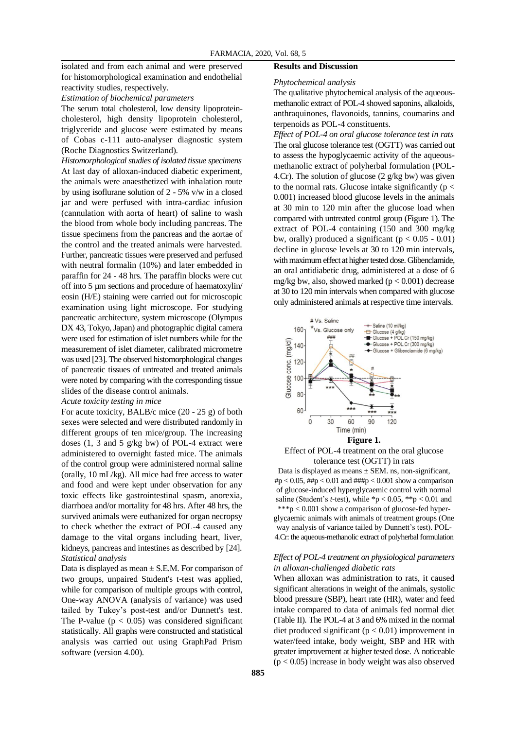isolated and from each animal and were preserved for histomorphological examination and endothelial reactivity studies, respectively.

#### *Estimation of biochemical parameters*

The serum total cholesterol, low density lipoproteincholesterol, high density lipoprotein cholesterol, triglyceride and glucose were estimated by means of Cobas c-111 auto-analyser diagnostic system (Roche Diagnostics Switzerland).

*Histomorphological studies of isolated tissue specimens* At last day of alloxan-induced diabetic experiment, the animals were anaesthetized with inhalation route by using isoflurane solution of 2 - 5% v/w in a closed jar and were perfused with intra-cardiac infusion (cannulation with aorta of heart) of saline to wash the blood from whole body including pancreas. The tissue specimens from the pancreas and the aortae of the control and the treated animals were harvested. Further, pancreatic tissues were preserved and perfused with neutral formalin (10%) and later embedded in paraffin for 24 - 48 hrs. The paraffin blocks were cut off into 5 µm sections and procedure of haematoxylin/ eosin (H/E) staining were carried out for microscopic examination using light microscope. For studying pancreatic architecture, system microscope (Olympus DX 43, Tokyo, Japan) and photographic digital camera were used for estimation of islet numbers while for the measurement of islet diameter, calibrated micrometre was used [23]. The observed histomorphological changes of pancreatic tissues of untreated and treated animals were noted by comparing with the corresponding tissue slides of the disease control animals.

## *Acute toxicity testing in mice*

For acute toxicity, BALB/c mice (20 - 25 g) of both sexes were selected and were distributed randomly in different groups of ten mice/group. The increasing doses  $(1, 3 \text{ and } 5 \text{ g/kg}$  bw) of POL-4 extract were administered to overnight fasted mice. The animals of the control group were administered normal saline (orally, 10 mL/kg). All mice had free access to water and food and were kept under observation for any toxic effects like gastrointestinal spasm, anorexia, diarrhoea and/or mortality for 48 hrs. After 48 hrs, the survived animals were euthanized for organ necropsy to check whether the extract of POL-4 caused any damage to the vital organs including heart, liver, kidneys, pancreas and intestines as described by [24]. *Statistical analysis*

Data is displayed as mean  $\pm$  S.E.M. For comparison of two groups, unpaired Student's t-test was applied, while for comparison of multiple groups with control, One-way ANOVA (analysis of variance) was used tailed by Tukey's post-test and/or Dunnett's test. The P-value ( $p < 0.05$ ) was considered significant statistically. All graphs were constructed and statistical analysis was carried out using GraphPad Prism software (version 4.00).

#### **Results and Discussion**

#### *Phytochemical analysis*

The qualitative phytochemical analysis of the aqueousmethanolic extract of POL-4 showed saponins, alkaloids, anthraquinones, flavonoids, tannins, coumarins and terpenoids as POL-4 constituents.

*Effect of POL-4 on oral glucose tolerance test in rats* The oral glucose tolerance test (OGTT) was carried out to assess the hypoglycaemic activity of the aqueousmethanolic extract of polyherbal formulation (POL-4.Cr). The solution of glucose  $(2 \frac{g}{kg}$  bw) was given to the normal rats. Glucose intake significantly ( $p <$ 0.001) increased blood glucose levels in the animals at 30 min to 120 min after the glucose load when compared with untreated control group (Figure 1). The extract of POL-4 containing (150 and 300 mg/kg bw, orally) produced a significant ( $p < 0.05 - 0.01$ ) decline in glucose levels at 30 to 120 min intervals, with maximum effect at higher tested dose. Glibenclamide, an oral antidiabetic drug, administered at a dose of 6 mg/kg bw, also, showed marked ( $p < 0.001$ ) decrease at 30 to 120 min intervals when compared with glucose only administered animals at respective time intervals.





Data is displayed as means  $\pm$  SEM. ns, non-significant,  $\#p < 0.05$ ,  $\#tp < 0.01$  and  $\# \# pp < 0.001$  show a comparison of glucose-induced hyperglycaemic control with normal saline (Student's *t*-test), while  $p < 0.05$ ,  $\frac{p}{p} < 0.01$  and \*\*\*p < 0.001 show a comparison of glucose-fed hyperglycaemic animals with animals of treatment groups (One way analysis of variance tailed by Dunnett's test). POL-4.Cr: the aqueous-methanolic extract of polyherbal formulation

#### *Effect of POL-4 treatment on physiological parameters in alloxan-challenged diabetic rats*

When alloxan was administration to rats, it caused significant alterations in weight of the animals, systolic blood pressure (SBP), heart rate (HR), water and feed intake compared to data of animals fed normal diet (Table II). The POL-4 at 3 and 6% mixed in the normal diet produced significant ( $p < 0.01$ ) improvement in water/feed intake, body weight, SBP and HR with greater improvement at higher tested dose. A noticeable  $(p < 0.05)$  increase in body weight was also observed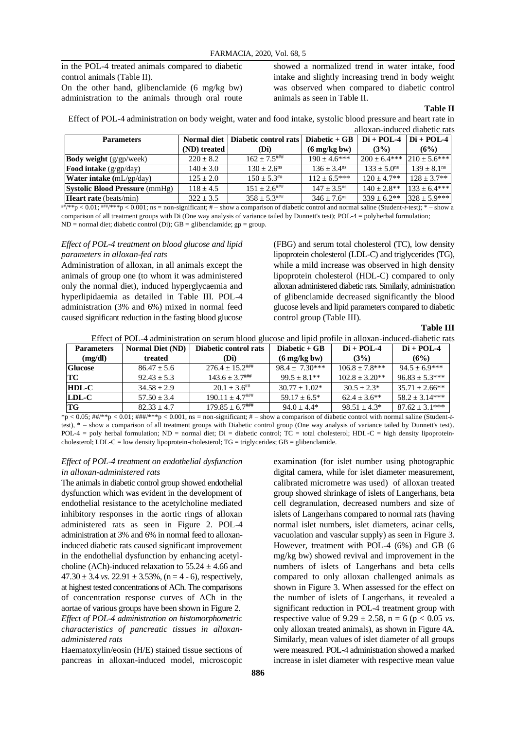in the POL-4 treated animals compared to diabetic control animals (Table II).

On the other hand, glibenclamide (6 mg/kg bw) administration to the animals through oral route showed a normalized trend in water intake, food intake and slightly increasing trend in body weight was observed when compared to diabetic control animals as seen in Table II.

**Table II**

Effect of POL-4 administration on body weight, water and food intake, systolic blood pressure and heart rate in alloxan-induced diabetic rats

| <b>Parameters</b>                     |               | Normal diet   Diabetic control rats | Diabetic + $GB$           | $Di + POL-4$              | $Di + POL-4$              |
|---------------------------------------|---------------|-------------------------------------|---------------------------|---------------------------|---------------------------|
|                                       | (ND) treated  | (Di)                                | $(6 \text{ mg/kg bw})$    | (3%)                      | (6%)                      |
| <b>Body weight</b> $(g/gp/week)$      | $220 \pm 8.2$ | $162 \pm 7.5$ ###                   | $190 \pm 4.6$ ***         | $200 \pm 6.4***$          | $210 + 5.6***$            |
| <b>Food intake</b> (g/gp/day)         | $140 \pm 3.0$ | $130 \pm 2.6$ <sup>ns</sup>         | $136 + 3.4$ <sup>ns</sup> | $133 + 5.0$ <sup>ns</sup> | $139 + 8.1$ <sup>ns</sup> |
| <b>Water intake</b> (mL/gp/day)       | $125 \pm 2.0$ | $150 \pm 5.3^{\text{\#}}$           | $112 + 6.5***$            | $120 + 4.7**$             | $128 + 3.7**$             |
| <b>Systolic Blood Pressure (mmHg)</b> | $118 + 4.5$   | $151 \pm 2.6$ ###                   | $147 + 3.5$ <sup>ns</sup> | $140 + 2.8$ **            | $133 \pm 6.4$ ***         |
| <b>Heart rate</b> (beats/min)         | $322 + 3.5$   | $358 \pm 5.3$ ###                   | $346 + 7.6$ <sup>ns</sup> | $339 + 6.2**$             | $1328 \pm 5.9***$         |

 $^{#}/$ \*p < 0.01;  $^{##}/$ \*\*p < 0.001; ns = non-significant;  $#$  – show a comparison of diabetic control and normal saline (Student-t-test); \* – show a comparison of all treatment groups with Di (One way analysis of variance tailed by Dunnett's test); POL-4 = polyherbal formulation;  $ND$  = normal diet; diabetic control (Di);  $GB$  = glibenclamide; gp = group.

## *Effect of POL-4 treatment on blood glucose and lipid parameters in alloxan-fed rats*

Administration of alloxan, in all animals except the animals of group one (to whom it was administered only the normal diet), induced hyperglycaemia and hyperlipidaemia as detailed in Table III. POL-4 administration (3% and 6%) mixed in normal feed caused significant reduction in the fasting blood glucose (FBG) and serum total cholesterol (TC), low density lipoprotein cholesterol (LDL-C) and triglycerides (TG), while a mild increase was observed in high density lipoprotein cholesterol (HDL-C) compared to only alloxan administered diabetic rats. Similarly, administration of glibenclamide decreased significantly the blood glucose levels and lipid parameters compared to diabetic control group (Table III).

#### **Table III**

| <b>Parameters</b> | <b>Normal Diet (ND)</b> | Diabetic control rats      | Diabetic $+$ GB        | $Di + POL-4$      | $Di + POL-4$        |
|-------------------|-------------------------|----------------------------|------------------------|-------------------|---------------------|
| (mg/dl)           | treated                 | (Di)                       | $(6 \text{ mg/kg bw})$ | (3%)              | (6%)                |
| <b>Glucose</b>    | $86.47 + 5.6$           | $276.4 \pm 15.2$ *****     | $98.4 + 7.30***$       | $106.8 + 7.8$ *** | $94.5 + 6.9***$     |
| <b>TC</b>         | $92.43 + 5.3$           | $143.6 + 3.7$              | $99.5 + 8.1**$         | $102.8 + 3.20**$  | $96.83 \pm 5.3$ *** |
| <b>HDL-C</b>      | $34.58 + 2.9$           | $20.1 + 3.6^{+4}$          | $30.77 + 1.02*$        | $30.5 + 2.3*$     | $35.71 + 2.66**$    |
| LDL-C             | $57.50 + 3.4$           | $190.11 + 4.7$             | $59.17 + 6.5*$         | $62.4 + 3.6**$    | $58.2 + 3.14***$    |
| <b>TG</b>         | $82.33 + 4.7$           | $179.85 + 6.7^{\text{mm}}$ | $94.0 + 4.4*$          | $98.51 + 4.3*$    | $87.62 + 3.1***$    |

\*p < 0.05; ##/\*\*p < 0.01; ###/\*\*\*p < 0.001, ns = non-significant; # – show a comparison of diabetic control with normal saline (Student-*t*test),  $*$  – show a comparison of all treatment groups with Diabetic control group (One way analysis of variance tailed by Dunnett's test). POL-4 = poly herbal formulation; ND = normal diet; Di = diabetic control; TC = total cholesterol; HDL-C = high density lipoproteincholesterol; LDL-C = low density lipoprotein-cholesterol;  $TG = \text{trid}$  verides;  $GB = \text{gl}$  is clienclamide.

## *Effect of POL-4 treatment on endothelial dysfunction in alloxan-administered rats*

The animals in diabetic control group showed endothelial dysfunction which was evident in the development of endothelial resistance to the acetylcholine mediated inhibitory responses in the aortic rings of alloxan administered rats as seen in Figure 2. POL-4 administration at 3% and 6% in normal feed to alloxaninduced diabetic rats caused significant improvement in the endothelial dysfunction by enhancing acetylcholine (ACh)-induced relaxation to  $55.24 \pm 4.66$  and  $47.30 \pm 3.4$  *vs.*  $22.91 \pm 3.53\%$ , (n = 4 - 6), respectively, at highest tested concentrations of ACh. The comparisons of concentration response curves of ACh in the aortae of various groups have been shown in Figure 2. *Effect of POL-4 administration on histomorphometric characteristics of pancreatic tissues in alloxanadministered rats*

Haematoxylin/eosin (H/E) stained tissue sections of pancreas in alloxan-induced model, microscopic examination (for islet number using photographic digital camera, while for islet diameter measurement, calibrated micrometre was used) of alloxan treated group showed shrinkage of islets of Langerhans, beta cell degranulation, decreased numbers and size of islets of Langerhans compared to normal rats (having normal islet numbers, islet diameters, acinar cells, vacuolation and vascular supply) as seen in Figure 3. However, treatment with POL-4 (6%) and GB (6 mg/kg bw) showed revival and improvement in the numbers of islets of Langerhans and beta cells compared to only alloxan challenged animals as shown in Figure 3. When assessed for the effect on the number of islets of Langerhans, it revealed a significant reduction in POL-4 treatment group with respective value of  $9.29 \pm 2.58$ , n = 6 (p < 0.05 *vs*. only alloxan treated animals), as shown in Figure 4A. Similarly, mean values of islet diameter of all groups were measured. POL-4 administration showed a marked increase in islet diameter with respective mean value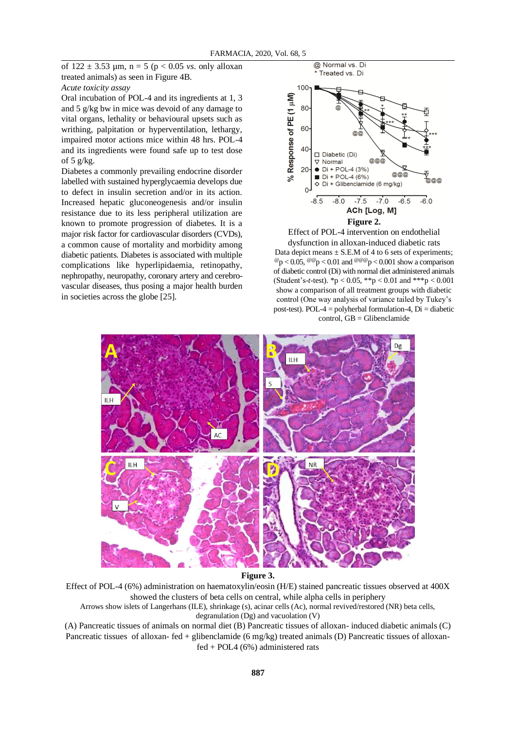of 122 ± 3.53 µm, n = 5 (p < 0.05 *vs*. only alloxan treated animals) as seen in Figure 4B. *Acute toxicity assay*

Oral incubation of POL-4 and its ingredients at 1, 3 and 5 g/kg bw in mice was devoid of any damage to vital organs, lethality or behavioural upsets such as writhing, palpitation or hyperventilation, lethargy, impaired motor actions mice within 48 hrs. POL-4 and its ingredients were found safe up to test dose of  $5 \frac{\text{g}}{\text{kg}}$ .

Diabetes a commonly prevailing endocrine disorder labelled with sustained hyperglycaemia develops due to defect in insulin secretion and/or in its action. Increased hepatic gluconeogenesis and/or insulin resistance due to its less peripheral utilization are known to promote progression of diabetes. It is a major risk factor for cardiovascular disorders (CVDs), a common cause of mortality and morbidity among diabetic patients. Diabetes is associated with multiple complications like hyperlipidaemia, retinopathy, nephropathy, neuropathy, coronary artery and cerebrovascular diseases, thus posing a major health burden in societies across the globe [25].







**Figure 3.**

Effect of POL-4 (6%) administration on haematoxylin/eosin (H/E) stained pancreatic tissues observed at 400X showed the clusters of beta cells on central, while alpha cells in periphery

Arrows show islets of Langerhans (ILE), shrinkage (s), acinar cells (Ac), normal revived/restored (NR) beta cells, degranulation (Dg) and vacuolation (V)

(A) Pancreatic tissues of animals on normal diet (B) Pancreatic tissues of alloxan- induced diabetic animals (C) Pancreatic tissues of alloxan- fed + glibenclamide (6 mg/kg) treated animals (D) Pancreatic tissues of alloxanfed + POL4 (6%) administered rats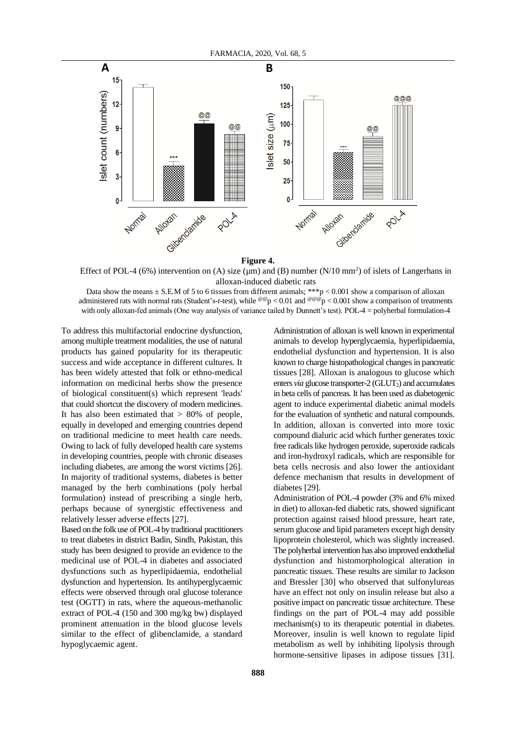

#### **Figure 4.**

Effect of POL-4 (6%) intervention on (A) size ( $\mu$ m) and (B) number (N/10 mm<sup>2</sup>) of islets of Langerhans in alloxan-induced diabetic rats

Data show the means  $\pm$  S.E.M of 5 to 6 tissues from different animals; \*\*\*p < 0.001 show a comparison of alloxan administered rats with normal rats (Student's-t-test), while <sup>@@</sup>p < 0.01 and <sup>@@@</sup>p < 0.001 show a comparison of treatments with only alloxan-fed animals (One way analysis of variance tailed by Dunnett's test). POL-4 = polyherbal formulation-4

To address this multifactorial endocrine dysfunction, among multiple treatment modalities, the use of natural products has gained popularity for its therapeutic success and wide acceptance in different cultures. It has been widely attested that folk or ethno-medical information on medicinal herbs show the presence of biological constituent(s) which represent 'leads' that could shortcut the discovery of modern medicines. It has also been estimated that  $> 80\%$  of people, equally in developed and emerging countries depend on traditional medicine to meet health care needs. Owing to lack of fully developed health care systems in developing countries, people with chronic diseases including diabetes, are among the worst victims [26]. In majority of traditional systems, diabetes is better managed by the herb combinations (poly herbal formulation) instead of prescribing a single herb, perhaps because of synergistic effectiveness and relatively lesser adverse effects [27].

Based on the folk use of POL-4 by traditional practitioners to treat diabetes in district Badin, Sindh, Pakistan, this study has been designed to provide an evidence to the medicinal use of POL-4 in diabetes and associated dysfunctions such as hyperlipidaemia, endothelial dysfunction and hypertension. Its antihyperglycaemic effects were observed through oral glucose tolerance test (OGTT) in rats, where the aqueous-methanolic extract of POL-4 (150 and 300 mg/kg bw) displayed prominent attenuation in the blood glucose levels similar to the effect of glibenclamide, a standard hypoglycaemic agent.

Administration of alloxan is well known in experimental animals to develop hyperglycaemia, hyperlipidaemia, endothelial dysfunction and hypertension. It is also known to charge histopathological changes in pancreatic tissues [28]. Alloxan is analogous to glucose which enters *via* glucose transporter-2 (GLUT<sub>2</sub>) and accumulates in beta cells of pancreas. It has been used as diabetogenic agent to induce experimental diabetic animal models for the evaluation of synthetic and natural compounds. In addition, alloxan is converted into more toxic compound dialuric acid which further generates toxic free radicals like hydrogen peroxide, superoxide radicals and iron-hydroxyl radicals, which are responsible for beta cells necrosis and also lower the antioxidant defence mechanism that results in development of diabetes [29].

Administration of POL-4 powder (3% and 6% mixed in diet) to alloxan-fed diabetic rats, showed significant protection against raised blood pressure, heart rate, serum glucose and lipid parameters except high density lipoprotein cholesterol, which was slightly increased. The polyherbal intervention has also improved endothelial dysfunction and histomorphological alteration in pancreatic tissues. These results are similar to Jackson and Bressler [30] who observed that sulfonylureas have an effect not only on insulin release but also a positive impact on pancreatic tissue architecture. These findings on the part of POL-4 may add possible mechanism(s) to its therapeutic potential in diabetes. Moreover, insulin is well known to regulate lipid metabolism as well by inhibiting lipolysis through hormone-sensitive lipases in adipose tissues [31].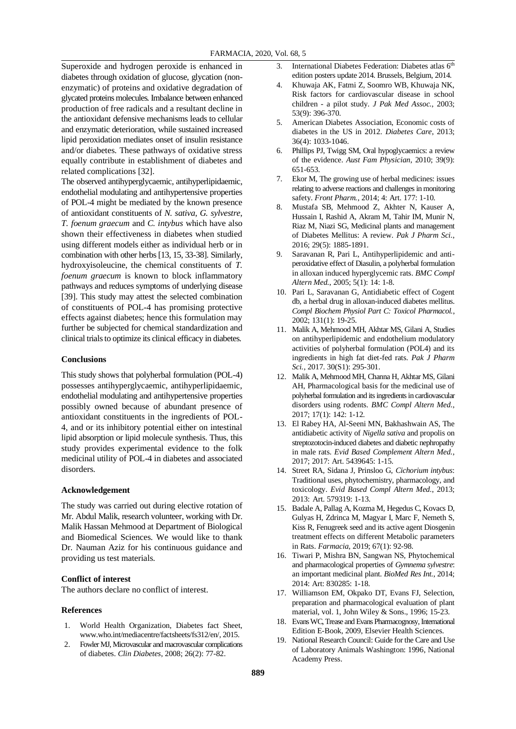Superoxide and hydrogen peroxide is enhanced in diabetes through oxidation of glucose, glycation (nonenzymatic) of proteins and oxidative degradation of glycated proteins molecules. Imbalance between enhanced production of free radicals and a resultant decline in the antioxidant defensive mechanisms leads to cellular and enzymatic deterioration, while sustained increased lipid peroxidation mediates onset of insulin resistance and/or diabetes. These pathways of oxidative stress equally contribute in establishment of diabetes and related complications [32].

The observed antihyperglycaemic, antihyperlipidaemic, endothelial modulating and antihypertensive properties of POL-4 might be mediated by the known presence of antioxidant constituents of *N. sativa*, *G. sylvestre*, *T. foenum graecum* and *C. intybus* which have also shown their effectiveness in diabetes when studied using different models either as individual herb or in combination with other herbs [13, 15, 33-38]. Similarly, hydroxyisoleucine, the chemical constituents of *T. foenum graecum* is known to block inflammatory pathways and reduces symptoms of underlying disease [39]. This study may attest the selected combination of constituents of POL-4 has promising protective effects against diabetes; hence this formulation may further be subjected for chemical standardization and clinical trials to optimize its clinical efficacy in diabetes.

#### **Conclusions**

This study shows that polyherbal formulation (POL-4) possesses antihyperglycaemic, antihyperlipidaemic, endothelial modulating and antihypertensive properties possibly owned because of abundant presence of antioxidant constituents in the ingredients of POL-4, and or its inhibitory potential either on intestinal lipid absorption or lipid molecule synthesis. Thus, this study provides experimental evidence to the folk medicinal utility of POL-4 in diabetes and associated disorders.

#### **Acknowledgement**

The study was carried out during elective rotation of Mr. Abdul Malik, research volunteer, working with Dr. Malik Hassan Mehmood at Department of Biological and Biomedical Sciences. We would like to thank Dr. Nauman Aziz for his continuous guidance and providing us test materials.

#### **Conflict of interest**

The authors declare no conflict of interest.

## **References**

- 1. World Health Organization, Diabetes fact Sheet, www.who.int/mediacentre/factsheets/fs312/en/, 2015.
- 2. Fowler MJ, Microvascular and macrovascular complications of diabetes. *Clin Diabetes*, 2008; 26(2): 77-82.
- 3. International Diabetes Federation: Diabetes atlas 6<sup>th</sup> edition posters update 2014. Brussels, Belgium, 2014.
- 4. Khuwaja AK, Fatmi Z, Soomro WB, Khuwaja NK, Risk factors for cardiovascular disease in school children - a pilot study. *J Pak Med Assoc.*, 2003; 53(9): 396-370.
- 5. American Diabetes Association, Economic costs of diabetes in the US in 2012. *Diabetes Care*, 2013; 36(4): 1033-1046.
- 6. Phillips PJ, Twigg SM, Oral hypoglycaemics: a review of the evidence. *Aust Fam Physician*, 2010; 39(9): 651-653.
- 7. Ekor M, The growing use of herbal medicines: issues relating to adverse reactions and challenges in monitoring safety. *Front Pharm.*, 2014; 4: Art. 177: 1-10.
- 8. Mustafa SB, Mehmood Z, Akhter N, Kauser A, Hussain I, Rashid A, Akram M, Tahir IM, Munir N, Riaz M, Niazi SG, Medicinal plants and management of Diabetes Mellitus: A review. *Pak J Pharm Sci.*, 2016; 29(5): 1885-1891.
- 9. Saravanan R, Pari L, Antihyperlipidemic and antiperoxidative effect of Diasulin, a polyherbal formulation in alloxan induced hyperglycemic rats. *BMC Compl Altern Med.*, 2005; 5(1): 14: 1-8.
- 10. Pari L, Saravanan G, Antidiabetic effect of Cogent db, a herbal drug in alloxan-induced diabetes mellitus. *Compl Biochem Physiol Part C: Toxicol Pharmacol.*, 2002; 131(1): 19-25.
- 11. Malik A, Mehmood MH, Akhtar MS, Gilani A, Studies on antihyperlipidemic and endothelium modulatory activities of polyherbal formulation (POL4) and its ingredients in high fat diet-fed rats. *Pak J Pharm Sci.*, 2017. 30(S1): 295-301.
- 12. Malik A, Mehmood MH, Channa H, Akhtar MS, Gilani AH, Pharmacological basis for the medicinal use of polyherbal formulation and its ingredients in cardiovascular disorders using rodents. *BMC Compl Altern Med.*, 2017; 17(1): 142: 1-12.
- 13. El Rabey HA, Al-Seeni MN, Bakhashwain AS, The antidiabetic activity of *Nigella sativa* and propolis on streptozotocin-induced diabetes and diabetic nephropathy in male rats. *Evid Based Complement Altern Med.*, 2017; 2017: Art. 5439645: 1-15.
- 14. Street RA, Sidana J, Prinsloo G, *Cichorium intybus*: Traditional uses, phytochemistry, pharmacology, and toxicology. *Evid Based Compl Altern Med.*, 2013; 2013: Art. 579319: 1-13.
- 15. Badale A, Pallag A, Kozma M, Hegedus C, Kovacs D, Gulyas H, Zdrinca M, Magyar I, Marc F, Nemeth S, Kiss R, Fenugreek seed and its active agent Diosgenin treatment effects on different Metabolic parameters in Rats. *Farmacia*, 2019; 67(1): 92-98.
- 16. Tiwari P, Mishra BN, Sangwan NS, Phytochemical and pharmacological properties of *Gymnema sylvestre*: an important medicinal plant. *BioMed Res Int.*, 2014; 2014: Art: 830285: 1-18.
- 17. Williamson EM, Okpako DT, Evans FJ, Selection, preparation and pharmacological evaluation of plant material, vol. 1, John Wiley & Sons., 1996; 15-23.
- 18. Evans WC, Trease and Evans Pharmacognosy, International Edition E-Book, 2009, Elsevier Health Sciences.
- 19. National Research Council: Guide for the Care and Use of Laboratory Animals Washington: 1996, National Academy Press.